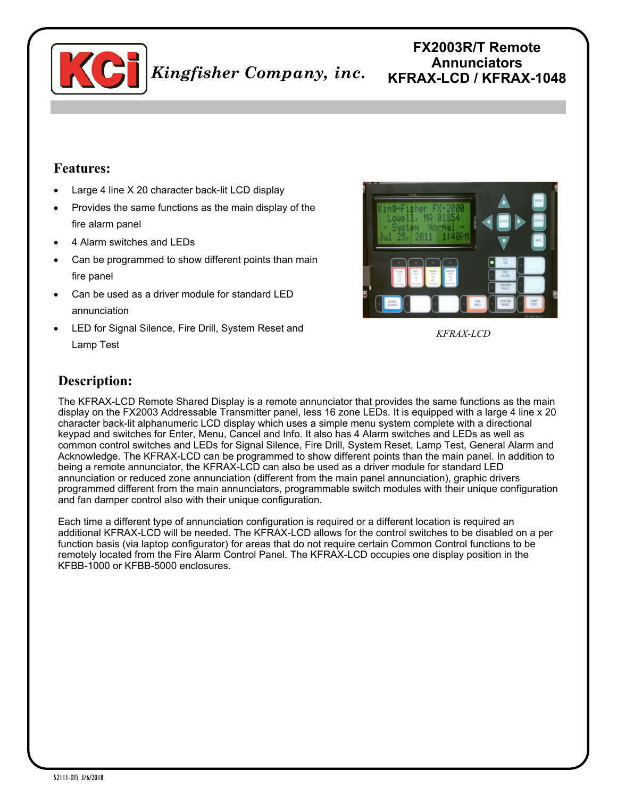

## **FX2003R/T Remote Annunciators KFRAX-LCD / KFRAX-1048**

## **Features:**

- Large 4 line X 20 character back-lit LCD display
- Provides the same functions as the main display of the fire alarm panel
- 4 Alarm switches and LEDs
- Can be programmed to show different points than main fire panel
- Can be used as a driver module for standard LED annunciation
- LED for Signal Silence, Fire Drill, System Reset and Lamp Test



*KFRAX-LCD* 

## **Description:**

The KFRAX-LCD Remote Shared Display is a remote annunciator that provides the same functions as the main display on the FX2003 Addressable Transmitter panel, less 16 zone LEDs. It is equipped with a large 4 line x 20 character back-lit alphanumeric LCD display which uses a simple menu system complete with a directional keypad and switches for Enter, Menu, Cancel and Info. It also has 4 Alarm switches and LEDs as well as common control switches and LEDs for Signal Silence, Fire Drill, System Reset, Lamp Test, General Alarm and Acknowledge. The KFRAX-LCD can be programmed to show different points than the main panel. In addition to being a remote annunciator, the KFRAX-LCD can also be used as a driver module for standard LED annunciation or reduced zone annunciation (different from the main panel annunciation), graphic drivers programmed different from the main annunciators, programmable switch modules with their unique configuration and fan damper control also with their unique configuration.

Each time a different type of annunciation configuration is required or a different location is required an additional KFRAX-LCD will be needed. The KFRAX-LCD allows for the control switches to be disabled on a per function basis (via laptop configurator) for areas that do not require certain Common Control functions to be remotely located from the Fire Alarm Control Panel. The KFRAX-LCD occupies one display position in the KFBB-1000 or KFBB-5000 enclosures.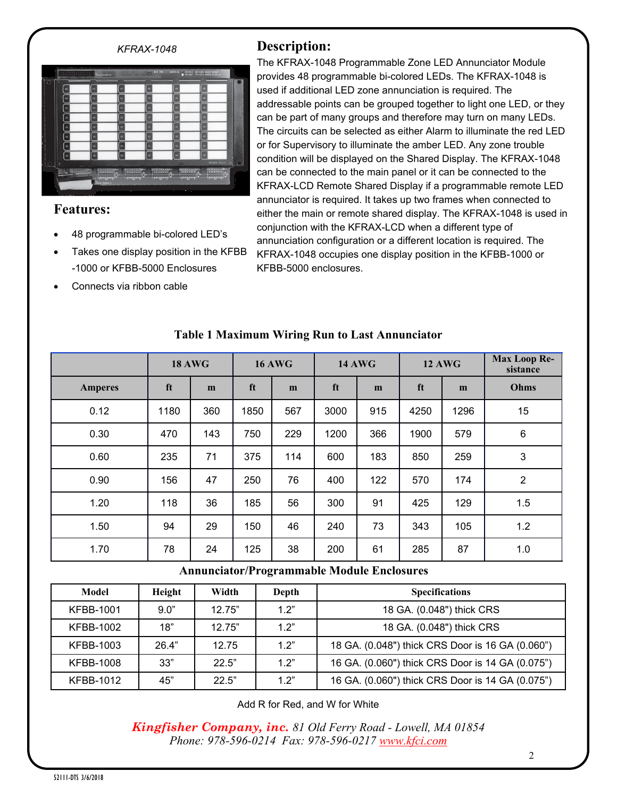

## **Features:**

- 48 programmable bi-colored LED's
- Takes one display position in the KFBB -1000 or KFBB-5000 Enclosures
- Connects via ribbon cable

The KFRAX-1048 Programmable Zone LED Annunciator Module provides 48 programmable bi-colored LEDs. The KFRAX-1048 is used if additional LED zone annunciation is required. The addressable points can be grouped together to light one LED, or they can be part of many groups and therefore may turn on many LEDs. The circuits can be selected as either Alarm to illuminate the red LED or for Supervisory to illuminate the amber LED. Any zone trouble condition will be displayed on the Shared Display. The KFRAX-1048 can be connected to the main panel or it can be connected to the KFRAX-LCD Remote Shared Display if a programmable remote LED annunciator is required. It takes up two frames when connected to either the main or remote shared display. The KFRAX-1048 is used in conjunction with the KFRAX-LCD when a different type of annunciation configuration or a different location is required. The KFRAX-1048 occupies one display position in the KFBB-1000 or KFBB-5000 enclosures.

|                | <b>18 AWG</b> |     | <b>16 AWG</b> |     | <b>14 AWG</b> |     | <b>12 AWG</b> |      | <b>Max Loop Re-</b><br>sistance |
|----------------|---------------|-----|---------------|-----|---------------|-----|---------------|------|---------------------------------|
| <b>Amperes</b> | ft            | m   | ft            | m   | ft            | m   | ft            | m    | Ohms                            |
| 0.12           | 1180          | 360 | 1850          | 567 | 3000          | 915 | 4250          | 1296 | 15                              |
| 0.30           | 470           | 143 | 750           | 229 | 1200          | 366 | 1900          | 579  | $\,6\,$                         |
| 0.60           | 235           | 71  | 375           | 114 | 600           | 183 | 850           | 259  | 3                               |
| 0.90           | 156           | 47  | 250           | 76  | 400           | 122 | 570           | 174  | $\overline{2}$                  |
| 1.20           | 118           | 36  | 185           | 56  | 300           | 91  | 425           | 129  | 1.5                             |
| 1.50           | 94            | 29  | 150           | 46  | 240           | 73  | 343           | 105  | 1.2                             |
| 1.70           | 78            | 24  | 125           | 38  | 200           | 61  | 285           | 87   | 1.0                             |

### **Table 1 Maximum Wiring Run to Last Annunciator**

#### **Annunciator/Programmable Module Enclosures**

| Model            | Height | Width  | Depth | <b>Specifications</b>                            |
|------------------|--------|--------|-------|--------------------------------------------------|
| KFBB-1001        | 9.0"   | 12.75" | 12"   | 18 GA. (0.048") thick CRS                        |
| KFBB-1002        | 18"    | 12.75" | 1.2"  | 18 GA. (0.048") thick CRS                        |
| KFBB-1003        | 26.4"  | 12.75  | 1.2"  | 18 GA. (0.048") thick CRS Door is 16 GA (0.060") |
| <b>KFBB-1008</b> | 33"    | 22.5"  | 1.2"  | 16 GA. (0.060") thick CRS Door is 14 GA (0.075") |
| KFBB-1012        | 45"    | 22.5"  | 1.2"  | 16 GA. (0.060") thick CRS Door is 14 GA (0.075") |

Add R for Red, and W for White

*Kingfisher Company, inc. 81 Old Ferry Road - Lowell, MA 01854 Phone: 978-596-0214 Fax: 978-596-0217 [www.kfci.com](http://www.kfci.com/)*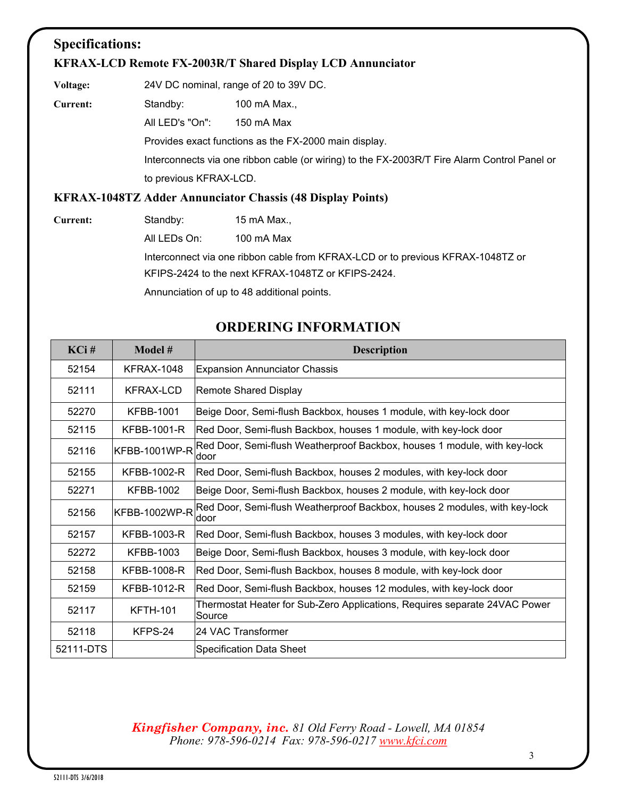## **Specifications:**

#### **KFRAX-LCD Remote FX-2003R/T Shared Display LCD Annunciator**

**Voltage:** 24V DC nominal, range of 20 to 39V DC.

**Current:** Standby: 100 mA Max.,

All LED's "On": 150 mA Max

Provides exact functions as the FX-2000 main display.

Interconnects via one ribbon cable (or wiring) to the FX-2003R/T Fire Alarm Control Panel or to previous KFRAX-LCD.

#### **KFRAX-1048TZ Adder Annunciator Chassis (48 Display Points)**

**Current:** Standby: 15 mA Max.,

All LEDs On: 100 mA Max

Interconnect via one ribbon cable from KFRAX-LCD or to previous KFRAX-1048TZ or KFIPS2424 to the next KFRAX-1048TZ or KFIPS-2424.

Annunciation of up to 48 additional points.

# **ORDERING INFORMATION**

| KCi#      | Model #              | <b>Description</b>                                                                   |  |
|-----------|----------------------|--------------------------------------------------------------------------------------|--|
| 52154     | <b>KFRAX-1048</b>    | <b>Expansion Annunciator Chassis</b>                                                 |  |
| 52111     | KFRAX-LCD            | Remote Shared Display                                                                |  |
| 52270     | <b>KFBB-1001</b>     | Beige Door, Semi-flush Backbox, houses 1 module, with key-lock door                  |  |
| 52115     | KFBB-1001-R          | Red Door, Semi-flush Backbox, houses 1 module, with key-lock door                    |  |
| 52116     | <b>KFBB-1001WP-R</b> | Red Door, Semi-flush Weatherproof Backbox, houses 1 module, with key-lock<br>door    |  |
| 52155     | <b>KFBB-1002-R</b>   | Red Door, Semi-flush Backbox, houses 2 modules, with key-lock door                   |  |
| 52271     | <b>KFBB-1002</b>     | Beige Door, Semi-flush Backbox, houses 2 module, with key-lock door                  |  |
| 52156     | <b>KFBB-1002WP-R</b> | Red Door, Semi-flush Weatherproof Backbox, houses 2 modules, with key-lock<br>door   |  |
| 52157     | KFBB-1003-R          | Red Door, Semi-flush Backbox, houses 3 modules, with key-lock door                   |  |
| 52272     | <b>KFBB-1003</b>     | Beige Door, Semi-flush Backbox, houses 3 module, with key-lock door                  |  |
| 52158     | <b>KFBB-1008-R</b>   | Red Door, Semi-flush Backbox, houses 8 module, with key-lock door                    |  |
| 52159     | <b>KFBB-1012-R</b>   | Red Door, Semi-flush Backbox, houses 12 modules, with key-lock door                  |  |
| 52117     | <b>KFTH-101</b>      | Thermostat Heater for Sub-Zero Applications, Requires separate 24VAC Power<br>Source |  |
| 52118     | KFPS-24              | l24 VAC Transformer                                                                  |  |
| 52111-DTS |                      | Specification Data Sheet                                                             |  |

#### *Kingfisher Company, inc. 81 Old Ferry Road - Lowell, MA 01854 Phone: 978-596-0214 Fax: 978-596-0217 [www.kfci.com](http://www.kfci.com/)*